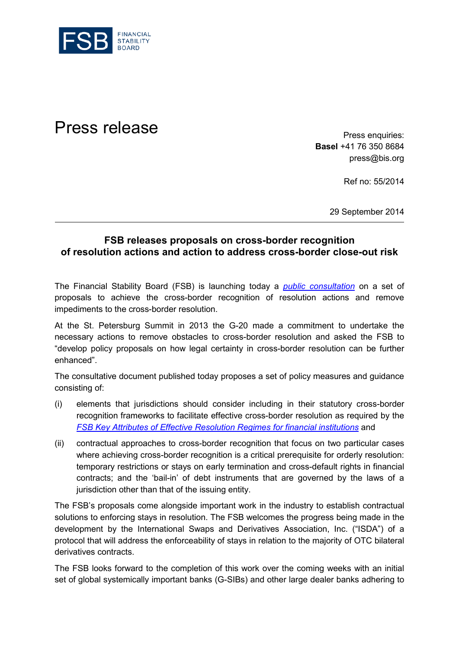

Press release **Press release** 

**Basel** +41 76 350 8684 press@bis.org

Ref no: 55/2014

29 September 2014

## **FSB releases proposals on cross-border recognition of resolution actions and action to address cross-border close-out risk**

The Financial Stability Board (FSB) is launching today a *[public consultation](http://www.financialstabilityboard.org/publications/c_140929.htm)* on a set of proposals to achieve the cross-border recognition of resolution actions and remove impediments to the cross-border resolution.

At the St. Petersburg Summit in 2013 the G-20 made a commitment to undertake the necessary actions to remove obstacles to cross-border resolution and asked the FSB to "develop policy proposals on how legal certainty in cross-border resolution can be further enhanced".

The consultative document published today proposes a set of policy measures and guidance consisting of:

- (i) elements that jurisdictions should consider including in their statutory cross-border recognition frameworks to facilitate effective cross-border resolution as required by the *FSB [Key Attributes of Effective Resolution Regimes](http://www.financialstabilityboard.org/publications/r_111104cc.pdf) for financial institutions* and
- (ii) contractual approaches to cross-border recognition that focus on two particular cases where achieving cross-border recognition is a critical prerequisite for orderly resolution: temporary restrictions or stays on early termination and cross-default rights in financial contracts; and the 'bail-in' of debt instruments that are governed by the laws of a jurisdiction other than that of the issuing entity.

The FSB's proposals come alongside important work in the industry to establish contractual solutions to enforcing stays in resolution. The FSB welcomes the progress being made in the development by the International Swaps and Derivatives Association, Inc. ("ISDA") of a protocol that will address the enforceability of stays in relation to the majority of OTC bilateral derivatives contracts.

The FSB looks forward to the completion of this work over the coming weeks with an initial set of global systemically important banks (G-SIBs) and other large dealer banks adhering to